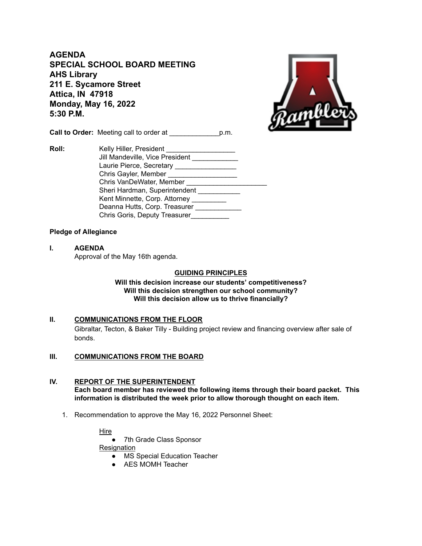**AGENDA SPECIAL SCHOOL BOARD MEETING AHS Library 211 E. Sycamore Street Attica, IN 47918 Monday, May 16, 2022 5:30 P.M.**



**Call to Order:** Meeting call to order at \_\_\_\_\_\_\_\_\_\_\_\_\_p.m.

**Roll:** Kelly Hiller, President Jill Mandeville, Vice President Laurie Pierce, Secretary \_\_\_\_\_\_\_\_\_\_\_\_\_\_\_\_\_\_ Chris Gayler, Member \_\_\_\_\_\_\_\_\_\_\_\_\_\_\_\_\_\_\_\_\_\_\_ Chris VanDeWater, Member \_\_\_\_\_\_\_\_\_\_\_\_\_\_\_\_\_\_\_\_\_ Sheri Hardman, Superintendent Kent Minnette, Corp. Attorney \_\_\_\_\_\_\_\_\_ Deanna Hutts, Corp. Treasurer \_\_\_\_\_\_\_\_\_\_\_\_\_ Chris Goris, Deputy Treasurer\_\_\_\_\_\_\_\_\_\_

# **Pledge of Allegiance**

**I. AGENDA** Approval of the May 16th agenda.

## **GUIDING PRINCIPLES**

**Will this decision increase our students' competitiveness? Will this decision strengthen our school community? Will this decision allow us to thrive financially?**

## **II. COMMUNICATIONS FROM THE FLOOR** Gibraltar, Tecton, & Baker Tilly - Building project review and financing overview after sale of bonds.

## **III. COMMUNICATIONS FROM THE BOARD**

## **IV. REPORT OF THE SUPERINTENDENT Each board member has reviewed the following items through their board packet. This information is distributed the week prior to allow thorough thought on each item.**

1. Recommendation to approve the May 16, 2022 Personnel Sheet:

## Hire

● 7th Grade Class Sponsor

**Resignation** 

- MS Special Education Teacher
- AES MOMH Teacher